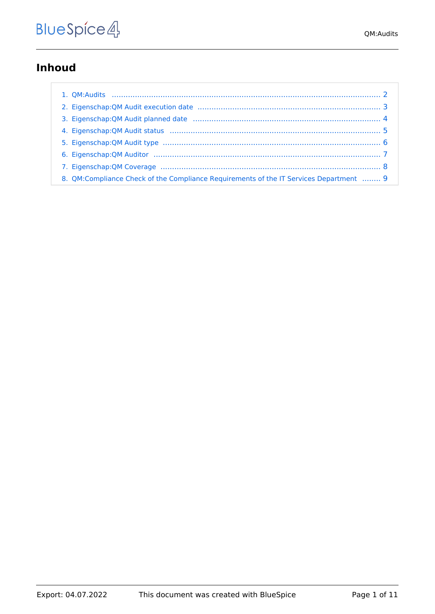### **Inhoud**

| 8. QM:Compliance Check of the Compliance Requirements of the IT Services Department  9 |  |
|----------------------------------------------------------------------------------------|--|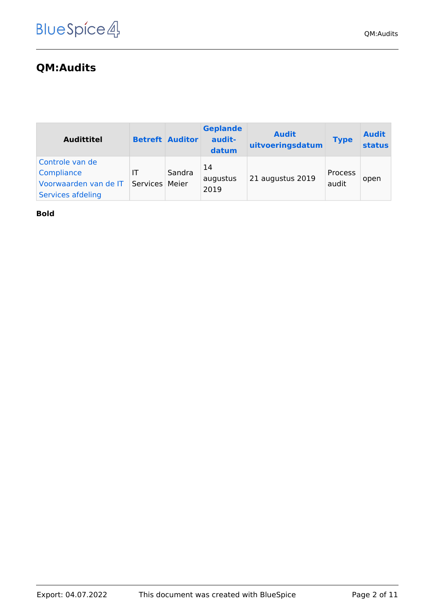# <span id="page-1-0"></span>**QM:Audits**

| <b>Audittitel</b>                                                           |                      | <b>Betreft Auditor</b> | <b>Geplande</b><br>audit-<br>datum | <b>Audit</b><br>uitvoeringsdatum | <b>Type</b>      | <b>Audit</b><br><b>status</b> |
|-----------------------------------------------------------------------------|----------------------|------------------------|------------------------------------|----------------------------------|------------------|-------------------------------|
| Controle van de<br>Compliance<br>Voorwaarden van de IT<br>Services afdeling | ΙT<br>Services Meier | Sandra                 | 14<br>augustus<br>2019             | 21 augustus 2019                 | Process<br>audit | open                          |

**Bold**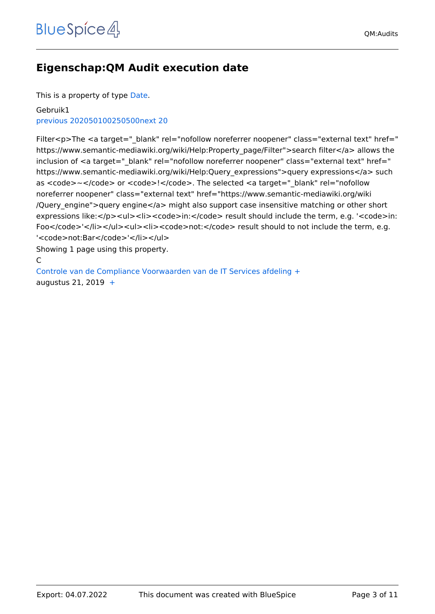### <span id="page-2-0"></span>**Eigenschap:QM Audit execution date**

This is a property of type [Date](https://nl.demo.bluespice.com/wiki/Speciaal:Typen/Datum).

#### Gebruik1 [previous 20](https://nl.demo.bluespice.com)[2050100250500](#page-2-0)[next 20](https://nl.demo.bluespice.com)

Filter<p>The <a target="\_blank" rel="nofollow noreferrer noopener" class="external text" href=" https://www.semantic-mediawiki.org/wiki/Help:Property\_page/Filter">search filter</a> allows the inclusion of <a target=" blank" rel="nofollow noreferrer noopener" class="external text" href=" https://www.semantic-mediawiki.org/wiki/Help:Query\_expressions">query expressions</a> such as <code>~</code> or <code>!</code>. The selected <a target="\_blank" rel="nofollow noreferrer noopener" class="external text" href="https://www.semantic-mediawiki.org/wiki /Query\_engine">query engine</a> might also support case insensitive matching or other short expressions like:</p><ul><li><code>in:</code> result should include the term, e.g. '<code>in: Foo</code>'</li></ul><ul><li><code>not:</code> result should to not include the term, e.g. '<code>not:Bar</code>'</li></ul>

Showing 1 page using this property.

#### C

[Controle van de Compliance Voorwaarden van de IT Services afdeling](#page-8-0) [+](https://nl.demo.bluespice.com/wiki/Speciaal:Bekijken/:QM:Compliance-20Check-20of-20the-20Compliance-20Requirements-20of-20the-20IT-20Services-20Department) augustus 21, 2019  $+$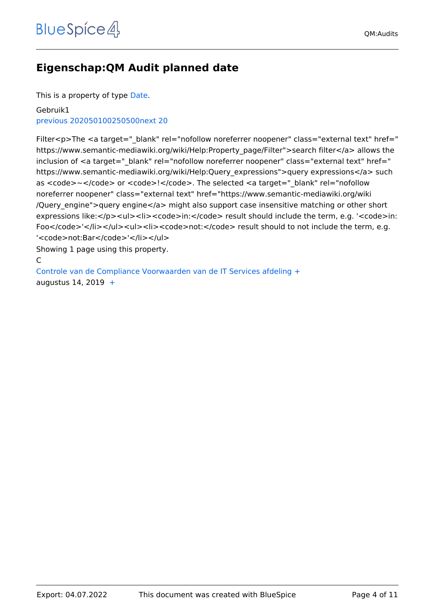## <span id="page-3-0"></span>**Eigenschap:QM Audit planned date**

This is a property of type [Date](https://nl.demo.bluespice.com/wiki/Speciaal:Typen/Datum).

#### Gebruik1 [previous 20](https://nl.demo.bluespice.com)[2050100250500](#page-3-0)[next 20](https://nl.demo.bluespice.com)

Filter<p>The <a target="\_blank" rel="nofollow noreferrer noopener" class="external text" href=" https://www.semantic-mediawiki.org/wiki/Help:Property\_page/Filter">search filter</a> allows the inclusion of <a target=" blank" rel="nofollow noreferrer noopener" class="external text" href=" https://www.semantic-mediawiki.org/wiki/Help:Query\_expressions">query expressions</a> such as <code>~</code> or <code>!</code>. The selected <a target="\_blank" rel="nofollow noreferrer noopener" class="external text" href="https://www.semantic-mediawiki.org/wiki /Query\_engine">query engine</a> might also support case insensitive matching or other short expressions like:</p><ul><li><code>in:</code> result should include the term, e.g. '<code>in: Foo</code>'</li></ul><ul><li><code>not:</code> result should to not include the term, e.g. '<code>not:Bar</code>'</li></ul>

Showing 1 page using this property.

#### C

[Controle van de Compliance Voorwaarden van de IT Services afdeling](#page-8-0) [+](https://nl.demo.bluespice.com/wiki/Speciaal:Bekijken/:QM:Compliance-20Check-20of-20the-20Compliance-20Requirements-20of-20the-20IT-20Services-20Department) augustus 14, 2019  $+$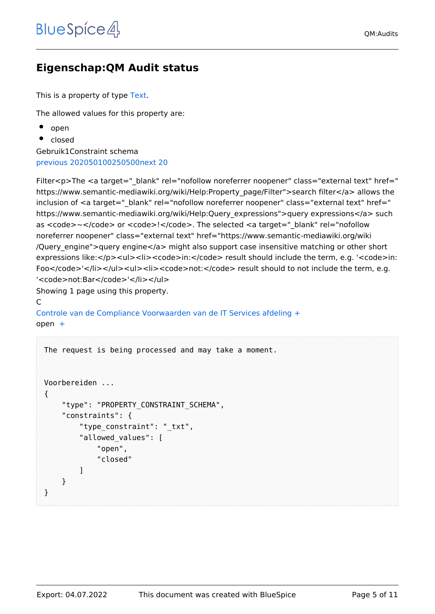## <span id="page-4-0"></span>**Eigenschap:QM Audit status**

This is a property of type [Text](https://nl.demo.bluespice.com/wiki/Speciaal:Typen/Tekst).

The allowed values for this property are:

- $\bullet$  open
- closed

Gebruik1Constraint schema [previous 20](https://nl.demo.bluespice.com)[2050100250500](#page-4-0)[next 20](https://nl.demo.bluespice.com)

Filter<p>The <a target=" blank" rel="nofollow noreferrer noopener" class="external text" href=" https://www.semantic-mediawiki.org/wiki/Help:Property\_page/Filter">search filter</a> allows the inclusion of <a target=" blank" rel="nofollow noreferrer noopener" class="external text" href=" https://www.semantic-mediawiki.org/wiki/Help:Query\_expressions">query expressions</a> such as <code>~</code> or <code>!</code>. The selected <a target=" blank" rel="nofollow noreferrer noopener" class="external text" href="https://www.semantic-mediawiki.org/wiki /Query\_engine">query engine</a> might also support case insensitive matching or other short expressions like:</p><ul><li><code>in:</code> result should include the term, e.g. '<code>in: Foo</code>'</li></ul><ul><li><code>not:</code> result should to not include the term, e.g. '<code>not:Bar</code>'</li></ul>

Showing 1 page using this property.

#### C

[Controle van de Compliance Voorwaarden van de IT Services afdeling](#page-8-0) [+](https://nl.demo.bluespice.com/wiki/Speciaal:Bekijken/:QM:Compliance-20Check-20of-20the-20Compliance-20Requirements-20of-20the-20IT-20Services-20Department)  $open +$  $open +$ 

```
The request is being processed and may take a moment.
Voorbereiden ...
{
     "type": "PROPERTY_CONSTRAINT_SCHEMA",
     "constraints": {
        "type constraint": " txt",
         "allowed_values": [
             "open",
             "closed"
 ]
     }
}
```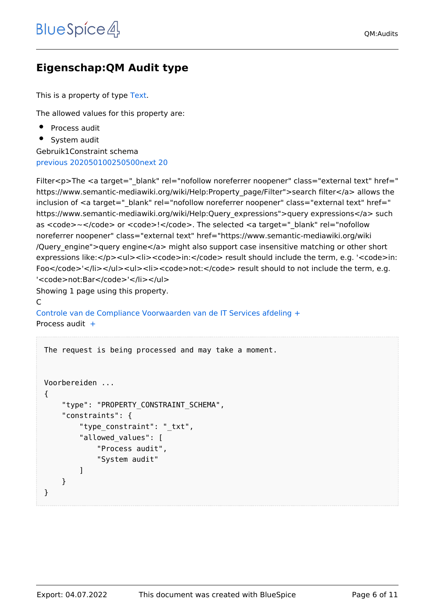## <span id="page-5-0"></span>**Eigenschap:QM Audit type**

This is a property of type [Text](https://nl.demo.bluespice.com/wiki/Speciaal:Typen/Tekst).

The allowed values for this property are:

Process audit

• System audit

Gebruik1Constraint schema [previous 20](https://nl.demo.bluespice.com)[2050100250500](#page-5-0)[next 20](https://nl.demo.bluespice.com)

Filter<p>The <a target=" blank" rel="nofollow noreferrer noopener" class="external text" href=" https://www.semantic-mediawiki.org/wiki/Help:Property\_page/Filter">search filter</a> allows the inclusion of <a target=" blank" rel="nofollow noreferrer noopener" class="external text" href=" https://www.semantic-mediawiki.org/wiki/Help:Query\_expressions">query expressions</a> such as <code>~</code> or <code>!</code>. The selected <a target=" blank" rel="nofollow noreferrer noopener" class="external text" href="https://www.semantic-mediawiki.org/wiki /Query\_engine">query engine</a> might also support case insensitive matching or other short expressions like:</p><ul><li><code>in:</code> result should include the term, e.g. '<code>in: Foo</code>'</li></ul><ul><li><code>not:</code> result should to not include the term, e.g. '<code>not:Bar</code>'</li></ul>

Showing 1 page using this property.

#### C

[Controle van de Compliance Voorwaarden van de IT Services afdeling](#page-8-0) [+](https://nl.demo.bluespice.com/wiki/Speciaal:Bekijken/:QM:Compliance-20Check-20of-20the-20Compliance-20Requirements-20of-20the-20IT-20Services-20Department) Process audit [+](https://nl.demo.bluespice.com/wiki/Speciaal:OpEigenschapZoeken/:QM-20Audit-20type/Process-20audit)

```
The request is being processed and may take a moment.
Voorbereiden ...
{
     "type": "PROPERTY_CONSTRAINT_SCHEMA",
     "constraints": {
        "type constraint": " txt",
         "allowed_values": [
             "Process audit",
             "System audit"
 ]
     }
}
```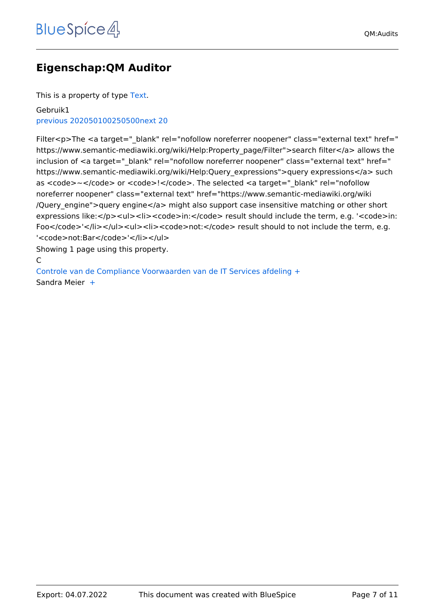## <span id="page-6-0"></span>**Eigenschap:QM Auditor**

This is a property of type [Text](https://nl.demo.bluespice.com/wiki/Speciaal:Typen/Tekst).

#### Gebruik1 [previous 20](https://nl.demo.bluespice.com)[2050100250500](#page-6-0)[next 20](https://nl.demo.bluespice.com)

Filter<p>The <a target="\_blank" rel="nofollow noreferrer noopener" class="external text" href=" https://www.semantic-mediawiki.org/wiki/Help:Property\_page/Filter">search filter</a> allows the inclusion of <a target=" blank" rel="nofollow noreferrer noopener" class="external text" href=" https://www.semantic-mediawiki.org/wiki/Help:Query\_expressions">query expressions</a> such as <code>~</code> or <code>!</code>. The selected <a target="\_blank" rel="nofollow noreferrer noopener" class="external text" href="https://www.semantic-mediawiki.org/wiki /Query\_engine">query engine</a> might also support case insensitive matching or other short expressions like:</p><ul><li><code>in:</code> result should include the term, e.g. '<code>in: Foo</code>'</li></ul><ul><li><code>not:</code> result should to not include the term, e.g. '<code>not:Bar</code>'</li></ul>

Showing 1 page using this property.

#### C

[Controle van de Compliance Voorwaarden van de IT Services afdeling](#page-8-0) [+](https://nl.demo.bluespice.com/wiki/Speciaal:Bekijken/:QM:Compliance-20Check-20of-20the-20Compliance-20Requirements-20of-20the-20IT-20Services-20Department) Sandra Meier  [+](https://nl.demo.bluespice.com/wiki/Speciaal:OpEigenschapZoeken/:QM-20Auditor/Sandra-20Meier)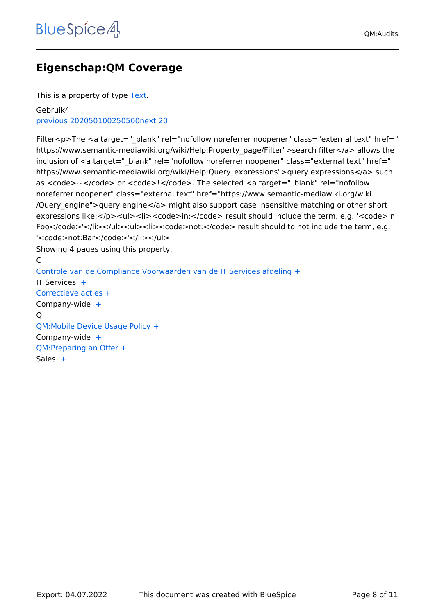## <span id="page-7-0"></span>**Eigenschap:QM Coverage**

This is a property of type [Text](https://nl.demo.bluespice.com/wiki/Speciaal:Typen/Tekst).

Gebruik4 [previous 20](https://nl.demo.bluespice.com)[2050100250500](#page-7-0)[next 20](https://nl.demo.bluespice.com)

Filter<p>The <a target=" blank" rel="nofollow noreferrer noopener" class="external text" href=" https://www.semantic-mediawiki.org/wiki/Help:Property\_page/Filter">search filter</a> allows the inclusion of <a target=" blank" rel="nofollow noreferrer noopener" class="external text" href=" https://www.semantic-mediawiki.org/wiki/Help:Query\_expressions">query expressions</a> such as <code>~</code> or <code>!</code>. The selected <a target="\_blank" rel="nofollow noreferrer noopener" class="external text" href="https://www.semantic-mediawiki.org/wiki /Query\_engine">query engine</a> might also support case insensitive matching or other short expressions like:</p><ul><li><code>in:</code> result should include the term, e.g. '<code>in: Foo</code>'</li></ul><ul><li><code>not:</code> result should to not include the term, e.g. '<code>not:Bar</code>'</li></ul> Showing 4 pages using this property.

#### C

[Controle van de Compliance Voorwaarden van de IT Services afdeling](#page-8-0) [+](https://nl.demo.bluespice.com/wiki/Speciaal:Bekijken/:QM:Compliance-20Check-20of-20the-20Compliance-20Requirements-20of-20the-20IT-20Services-20Department) IT Services  [+](https://nl.demo.bluespice.com/wiki/Speciaal:OpEigenschapZoeken/:QM-20Coverage/IT-20Services) [Correctieve acties](https://nl.demo.bluespice.com/wiki/QM:Corrective_Actions) [+](https://nl.demo.bluespice.com/wiki/Speciaal:Bekijken/:QM:Corrective-20Actions) Company-wide [+](https://nl.demo.bluespice.com/wiki/Speciaal:OpEigenschapZoeken/:QM-20Coverage/Company-2Dwide) Q [QM:Mobile Device Usage Policy](https://nl.demo.bluespice.com/wiki/QM:Mobile_Device_Usage_Policy) [+](https://nl.demo.bluespice.com/wiki/Speciaal:Bekijken/:QM:Mobile-20Device-20Usage-20Policy) Company-wide [+](https://nl.demo.bluespice.com/wiki/Speciaal:OpEigenschapZoeken/:QM-20Coverage/Company-2Dwide) [QM:Preparing an Offer](https://nl.demo.bluespice.com/wiki/QM:Preparing_an_Offer) [+](https://nl.demo.bluespice.com/wiki/Speciaal:Bekijken/:QM:Preparing-20an-20Offer) Sales  $+$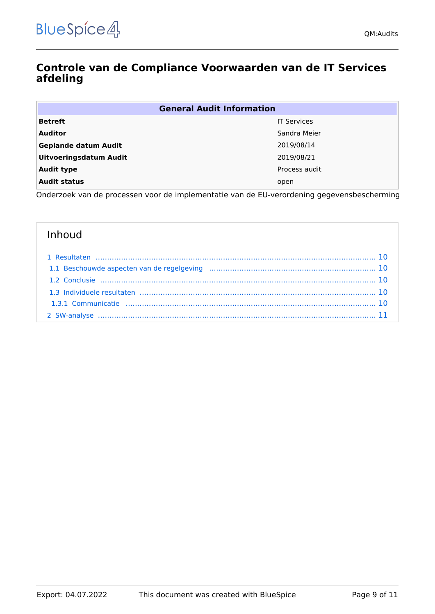### <span id="page-8-0"></span>**Controle van de Compliance Voorwaarden van de IT Services afdeling**

| <b>General Audit Information</b> |                    |  |  |  |
|----------------------------------|--------------------|--|--|--|
| <b>Betreft</b>                   | <b>IT Services</b> |  |  |  |
| <b>Auditor</b>                   | Sandra Meier       |  |  |  |
| <b>Geplande datum Audit</b>      | 2019/08/14         |  |  |  |
| <b>Uitvoeringsdatum Audit</b>    | 2019/08/21         |  |  |  |
| <b>Audit type</b>                | Process audit      |  |  |  |
| <b>Audit status</b>              | open               |  |  |  |

Onderzoek van de processen voor de implementatie van de EU-verordening gegevensbescherming.

### Inhoud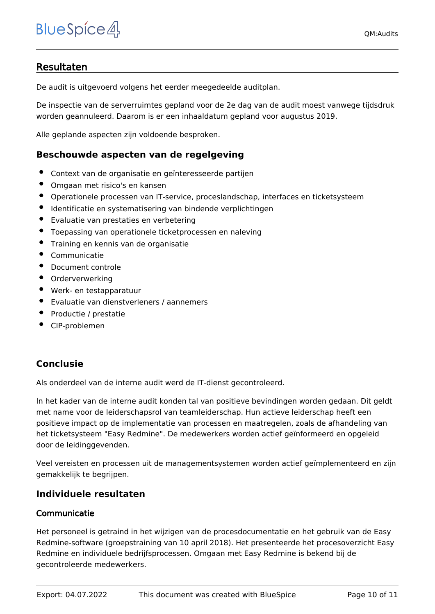### <span id="page-9-0"></span>Resultaten

De audit is uitgevoerd volgens het eerder meegedeelde auditplan.

De inspectie van de serverruimtes gepland voor de 2e dag van de audit moest vanwege tijdsdruk worden geannuleerd. Daarom is er een inhaaldatum gepland voor augustus 2019.

Alle geplande aspecten zijn voldoende besproken.

#### <span id="page-9-1"></span>**Beschouwde aspecten van de regelgeving**

- Context van de organisatie en geïnteresseerde partijen
- Omgaan met risico's en kansen
- Operationele processen van IT-service, proceslandschap, interfaces en ticketsysteem
- Identificatie en systematisering van bindende verplichtingen
- Evaluatie van prestaties en verbetering
- Toepassing van operationele ticketprocessen en naleving
- **•** Training en kennis van de organisatie
- Communicatie
- $\bullet$ Document controle
- Orderverwerking
- Werk- en testapparatuur
- Evaluatie van dienstverleners / aannemers
- Productie / prestatie
- CIP-problemen

### <span id="page-9-2"></span>**Conclusie**

Als onderdeel van de interne audit werd de IT-dienst gecontroleerd.

In het kader van de interne audit konden tal van positieve bevindingen worden gedaan. Dit geldt met name voor de leiderschapsrol van teamleiderschap. Hun actieve leiderschap heeft een positieve impact op de implementatie van processen en maatregelen, zoals de afhandeling van het ticketsysteem "Easy Redmine". De medewerkers worden actief geïnformeerd en opgeleid door de leidinggevenden.

Veel vereisten en processen uit de managementsystemen worden actief geïmplementeerd en zijn gemakkelijk te begrijpen.

#### <span id="page-9-3"></span>**Individuele resultaten**

#### <span id="page-9-4"></span>Communicatie

Het personeel is getraind in het wijzigen van de procesdocumentatie en het gebruik van de Easy Redmine-software (groepstraining van 10 april 2018). Het presenteerde het procesoverzicht Easy Redmine en individuele bedrijfsprocessen. Omgaan met Easy Redmine is bekend bij de gecontroleerde medewerkers.